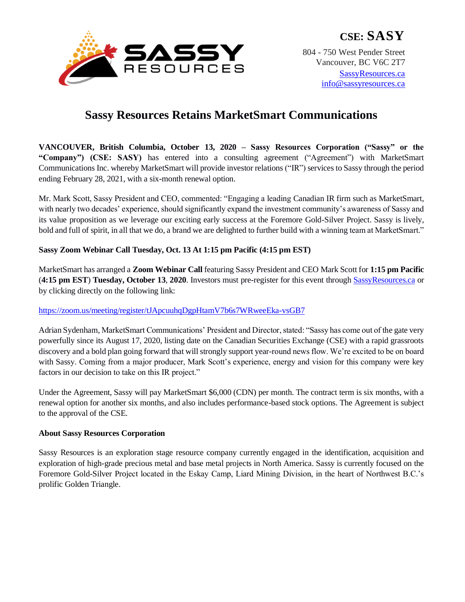

# **Sassy Resources Retains MarketSmart Communications**

**VANCOUVER, British Columbia, October 13, 2020 – Sassy Resources Corporation ("Sassy" or the "Company") (CSE: SASY)** has entered into a consulting agreement ("Agreement") with MarketSmart Communications Inc. whereby MarketSmart will provide investor relations ("IR") services to Sassy through the period ending February 28, 2021, with a six-month renewal option.

Mr. Mark Scott, Sassy President and CEO, commented: "Engaging a leading Canadian IR firm such as MarketSmart, with nearly two decades' experience, should significantly expand the investment community's awareness of Sassy and its value proposition as we leverage our exciting early success at the Foremore Gold-Silver Project. Sassy is lively, bold and full of spirit, in all that we do, a brand we are delighted to further build with a winning team at MarketSmart."

## **Sassy Zoom Webinar Call Tuesday, Oct. 13 At 1:15 pm Pacific (4:15 pm EST)**

MarketSmart has arranged a **Zoom Webinar Call** featuring Sassy President and CEO Mark Scott for **1:15 pm Pacific** (**4:15 pm EST**) **Tuesday, October 13**, **2020**. Investors must pre-register for this event through [SassyResources.ca](/Users/makecanadagreatagain/Downloads/SassyResources.ca) or by clicking directly on the following link:

### <https://zoom.us/meeting/register/tJApcuuhqDgpHtamV7b6s7WRweeEka-vsGB7>

Adrian Sydenham, MarketSmart Communications' President and Director, stated: "Sassy has come out of the gate very powerfully since its August 17, 2020, listing date on the Canadian Securities Exchange (CSE) with a rapid grassroots discovery and a bold plan going forward that will strongly support year-round news flow. We're excited to be on board with Sassy. Coming from a major producer, Mark Scott's experience, energy and vision for this company were key factors in our decision to take on this IR project."

Under the Agreement, Sassy will pay MarketSmart \$6,000 (CDN) per month. The contract term is six months, with a renewal option for another six months, and also includes performance-based stock options. The Agreement is subject to the approval of the CSE.

# **About Sassy Resources Corporation**

Sassy Resources is an exploration stage resource company currently engaged in the identification, acquisition and exploration of high-grade precious metal and base metal projects in North America. Sassy is currently focused on the Foremore Gold-Silver Project located in the Eskay Camp, Liard Mining Division, in the heart of Northwest B.C.'s prolific Golden Triangle.